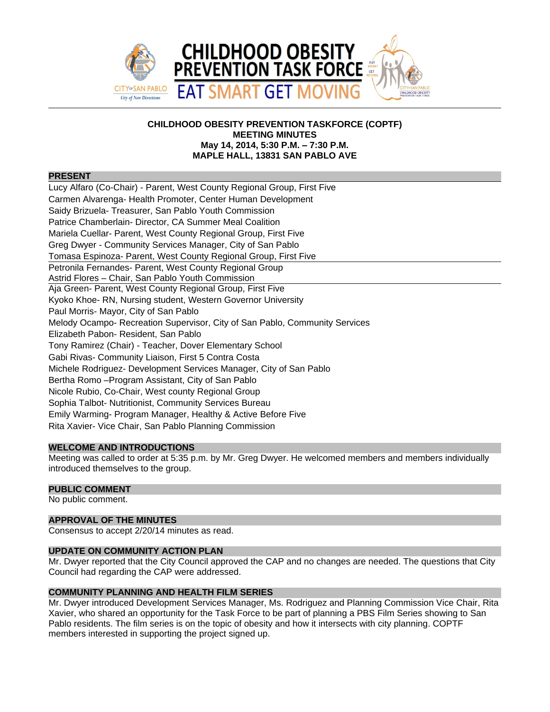

# **CHILDHOOD OBESITY PREVENTION TASKFORCE (COPTF) MEETING MINUTES May 14, 2014, 5:30 P.M. – 7:30 P.M. MAPLE HALL, 13831 SAN PABLO AVE**

#### **PRESENT**

Lucy Alfaro (Co-Chair) - Parent, West County Regional Group, First Five Carmen Alvarenga- Health Promoter, Center Human Development Saidy Brizuela- Treasurer, San Pablo Youth Commission Patrice Chamberlain- Director, CA Summer Meal Coalition Mariela Cuellar- Parent, West County Regional Group, First Five Greg Dwyer - Community Services Manager, City of San Pablo Tomasa Espinoza- Parent, West County Regional Group, First Five Petronila Fernandes- Parent, West County Regional Group Astrid Flores – Chair, San Pablo Youth Commission Aja Green- Parent, West County Regional Group, First Five Kyoko Khoe- RN, Nursing student, Western Governor University Paul Morris- Mayor, City of San Pablo Melody Ocampo- Recreation Supervisor, City of San Pablo, Community Services Elizabeth Pabon- Resident, San Pablo Tony Ramirez (Chair) - Teacher, Dover Elementary School Gabi Rivas- Community Liaison, First 5 Contra Costa Michele Rodriguez- Development Services Manager, City of San Pablo Bertha Romo –Program Assistant, City of San Pablo Nicole Rubio, Co-Chair, West county Regional Group Sophia Talbot- Nutritionist, Community Services Bureau Emily Warming- Program Manager, Healthy & Active Before Five Rita Xavier- Vice Chair, San Pablo Planning Commission

# **WELCOME AND INTRODUCTIONS**

Meeting was called to order at 5:35 p.m. by Mr. Greg Dwyer. He welcomed members and members individually introduced themselves to the group.

# **PUBLIC COMMENT**

No public comment.

# **APPROVAL OF THE MINUTES**

Consensus to accept 2/20/14 minutes as read.

# **UPDATE ON COMMUNITY ACTION PLAN**

Mr. Dwyer reported that the City Council approved the CAP and no changes are needed. The questions that City Council had regarding the CAP were addressed.

# **COMMUNITY PLANNING AND HEALTH FILM SERIES**

Mr. Dwyer introduced Development Services Manager, Ms. Rodriguez and Planning Commission Vice Chair, Rita Xavier, who shared an opportunity for the Task Force to be part of planning a PBS Film Series showing to San Pablo residents. The film series is on the topic of obesity and how it intersects with city planning. COPTF members interested in supporting the project signed up.